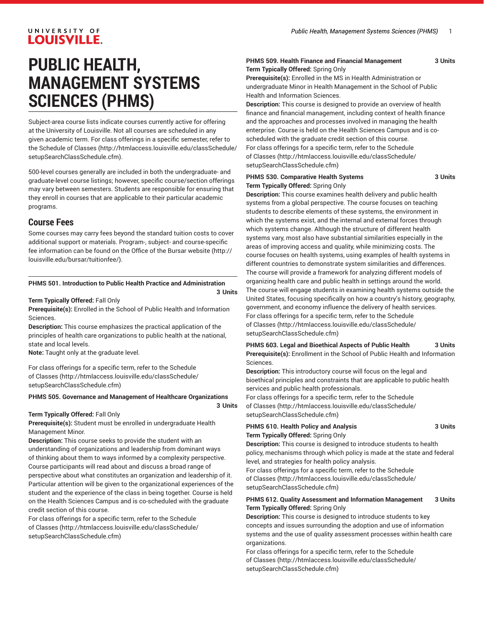# **PUBLIC HEALTH, MANAGEMENT SYSTEMS SCIENCES (PHMS)**

Subject-area course lists indicate courses currently active for offering at the University of Louisville. Not all courses are scheduled in any given academic term. For class offerings in a specific semester, refer to the [Schedule of Classes](http://htmlaccess.louisville.edu/classSchedule/setupSearchClassSchedule.cfm) ([http://htmlaccess.louisville.edu/classSchedule/](http://htmlaccess.louisville.edu/classSchedule/setupSearchClassSchedule.cfm) [setupSearchClassSchedule.cfm\)](http://htmlaccess.louisville.edu/classSchedule/setupSearchClassSchedule.cfm).

500-level courses generally are included in both the undergraduate- and graduate-level course listings; however, specific course/section offerings may vary between semesters. Students are responsible for ensuring that they enroll in courses that are applicable to their particular academic programs.

# **Course Fees**

Some courses may carry fees beyond the standard tuition costs to cover additional support or materials. Program-, subject- and course-specific fee information can be found on the [Office of the Bursar website](http://louisville.edu/bursar/tuitionfee/) ([http://](http://louisville.edu/bursar/tuitionfee/) [louisville.edu/bursar/tuitionfee/](http://louisville.edu/bursar/tuitionfee/)).

#### **PHMS 501. Introduction to Public Health Practice and Administration**

#### **3 Units**

#### **Term Typically Offered:** Fall Only

**Prerequisite(s):** Enrolled in the School of Public Health and Information Sciences.

**Description:** This course emphasizes the practical application of the principles of health care organizations to public health at the national, state and local levels.

**Note:** Taught only at the graduate level.

For class offerings for a specific term, refer to the [Schedule](http://htmlaccess.louisville.edu/classSchedule/setupSearchClassSchedule.cfm) [of Classes \(http://htmlaccess.louisville.edu/classSchedule/](http://htmlaccess.louisville.edu/classSchedule/setupSearchClassSchedule.cfm) [setupSearchClassSchedule.cfm\)](http://htmlaccess.louisville.edu/classSchedule/setupSearchClassSchedule.cfm)

#### **PHMS 505. Governance and Management of Healthcare Organizations**

**3 Units**

#### **Term Typically Offered:** Fall Only

**Prerequisite(s):** Student must be enrolled in undergraduate Health Management Minor.

**Description:** This course seeks to provide the student with an understanding of organizations and leadership from dominant ways of thinking about them to ways informed by a complexity perspective. Course participants will read about and discuss a broad range of perspective about what constitutes an organization and leadership of it. Particular attention will be given to the organizational experiences of the student and the experience of the class in being together. Course is held on the Health Sciences Campus and is co-scheduled with the graduate credit section of this course.

For class offerings for a specific term, refer to the [Schedule](http://htmlaccess.louisville.edu/classSchedule/setupSearchClassSchedule.cfm) [of Classes \(http://htmlaccess.louisville.edu/classSchedule/](http://htmlaccess.louisville.edu/classSchedule/setupSearchClassSchedule.cfm) [setupSearchClassSchedule.cfm\)](http://htmlaccess.louisville.edu/classSchedule/setupSearchClassSchedule.cfm)

#### **PHMS 509. Health Finance and Financial Management 3 Units Term Typically Offered:** Spring Only

**Prerequisite(s):** Enrolled in the MS in Health Administration or undergraduate Minor in Health Management in the School of Public Health and Information Sciences.

**Description:** This course is designed to provide an overview of health finance and financial management, including context of health finance and the approaches and processes involved in managing the health enterprise. Course is held on the Health Sciences Campus and is coscheduled with the graduate credit section of this course. For class offerings for a specific term, refer to the [Schedule](http://htmlaccess.louisville.edu/classSchedule/setupSearchClassSchedule.cfm) [of Classes](http://htmlaccess.louisville.edu/classSchedule/setupSearchClassSchedule.cfm) ([http://htmlaccess.louisville.edu/classSchedule/](http://htmlaccess.louisville.edu/classSchedule/setupSearchClassSchedule.cfm) [setupSearchClassSchedule.cfm\)](http://htmlaccess.louisville.edu/classSchedule/setupSearchClassSchedule.cfm)

#### **PHMS 530. Comparative Health Systems 3 Units Term Typically Offered:** Spring Only

**Description:** This course examines health delivery and public health systems from a global perspective. The course focuses on teaching students to describe elements of these systems, the environment in which the systems exist, and the internal and external forces through which systems change. Although the structure of different health systems vary, most also have substantial similarities especially in the areas of improving access and quality, while minimizing costs. The course focuses on health systems, using examples of health systems in different countries to demonstrate system similarities and differences. The course will provide a framework for analyzing different models of organizing health care and public health in settings around the world. The course will engage students in examining health systems outside the United States, focusing specifically on how a country's history, geography, government, and economy influence the delivery of health services. For class offerings for a specific term, refer to the [Schedule](http://htmlaccess.louisville.edu/classSchedule/setupSearchClassSchedule.cfm) [of Classes](http://htmlaccess.louisville.edu/classSchedule/setupSearchClassSchedule.cfm) ([http://htmlaccess.louisville.edu/classSchedule/](http://htmlaccess.louisville.edu/classSchedule/setupSearchClassSchedule.cfm) [setupSearchClassSchedule.cfm\)](http://htmlaccess.louisville.edu/classSchedule/setupSearchClassSchedule.cfm)

### **PHMS 603. Legal and Bioethical Aspects of Public Health 3 Units Prerequisite(s):** Enrollment in the School of Public Health and Information

Sciences.

**Description:** This introductory course will focus on the legal and bioethical principles and constraints that are applicable to public health services and public health professionals.

For class offerings for a specific term, refer to the [Schedule](http://htmlaccess.louisville.edu/classSchedule/setupSearchClassSchedule.cfm) [of Classes](http://htmlaccess.louisville.edu/classSchedule/setupSearchClassSchedule.cfm) ([http://htmlaccess.louisville.edu/classSchedule/](http://htmlaccess.louisville.edu/classSchedule/setupSearchClassSchedule.cfm) [setupSearchClassSchedule.cfm\)](http://htmlaccess.louisville.edu/classSchedule/setupSearchClassSchedule.cfm)

#### **PHMS 610. Health Policy and Analysis 3 Units Term Typically Offered:** Spring Only

**Description:** This course is designed to introduce students to health policy, mechanisms through which policy is made at the state and federal level, and strategies for health policy analysis.

For class offerings for a specific term, refer to the [Schedule](http://htmlaccess.louisville.edu/classSchedule/setupSearchClassSchedule.cfm) [of Classes](http://htmlaccess.louisville.edu/classSchedule/setupSearchClassSchedule.cfm) ([http://htmlaccess.louisville.edu/classSchedule/](http://htmlaccess.louisville.edu/classSchedule/setupSearchClassSchedule.cfm) [setupSearchClassSchedule.cfm\)](http://htmlaccess.louisville.edu/classSchedule/setupSearchClassSchedule.cfm)

#### **PHMS 612. Quality Assessment and Information Management 3 Units Term Typically Offered:** Spring Only

**Description:** This course is designed to introduce students to key concepts and issues surrounding the adoption and use of information systems and the use of quality assessment processes within health care organizations.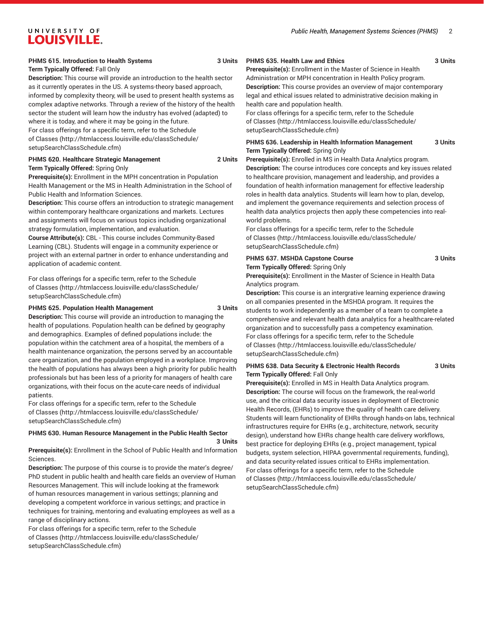# **PHMS 615. Introduction to Health Systems 3 Units**

**Term Typically Offered:** Fall Only

**Description:** This course will provide an introduction to the health sector as it currently operates in the US. A systems-theory based approach, informed by complexity theory, will be used to present health systems as complex adaptive networks. Through a review of the history of the health sector the student will learn how the industry has evolved (adapted) to where it is today, and where it may be going in the future.

For class offerings for a specific term, refer to the [Schedule](http://htmlaccess.louisville.edu/classSchedule/setupSearchClassSchedule.cfm) [of Classes \(http://htmlaccess.louisville.edu/classSchedule/](http://htmlaccess.louisville.edu/classSchedule/setupSearchClassSchedule.cfm) [setupSearchClassSchedule.cfm\)](http://htmlaccess.louisville.edu/classSchedule/setupSearchClassSchedule.cfm)

#### **PHMS 620. Healthcare Strategic Management 2 Units Term Typically Offered:** Spring Only

**Prerequisite(s):** Enrollment in the MPH concentration in Population Health Management or the MS in Health Administration in the School of Public Health and Information Sciences.

**Description:** This course offers an introduction to strategic management within contemporary healthcare organizations and markets. Lectures and assignments will focus on various topics including organizational strategy formulation, implementation, and evaluation.

**Course Attribute(s):** CBL - This course includes Community-Based Learning (CBL). Students will engage in a community experience or project with an external partner in order to enhance understanding and application of academic content.

For class offerings for a specific term, refer to the [Schedule](http://htmlaccess.louisville.edu/classSchedule/setupSearchClassSchedule.cfm) [of Classes \(http://htmlaccess.louisville.edu/classSchedule/](http://htmlaccess.louisville.edu/classSchedule/setupSearchClassSchedule.cfm) [setupSearchClassSchedule.cfm\)](http://htmlaccess.louisville.edu/classSchedule/setupSearchClassSchedule.cfm)

#### **PHMS 625. Population Health Management 3 Units**

**Description:** This course will provide an introduction to managing the health of populations. Population health can be defined by geography and demographics. Examples of defined populations include: the population within the catchment area of a hospital, the members of a health maintenance organization, the persons served by an accountable care organization, and the population employed in a workplace. Improving the health of populations has always been a high priority for public health professionals but has been less of a priority for managers of health care organizations, with their focus on the acute-care needs of individual patients.

For class offerings for a specific term, refer to the [Schedule](http://htmlaccess.louisville.edu/classSchedule/setupSearchClassSchedule.cfm) [of Classes \(http://htmlaccess.louisville.edu/classSchedule/](http://htmlaccess.louisville.edu/classSchedule/setupSearchClassSchedule.cfm) [setupSearchClassSchedule.cfm\)](http://htmlaccess.louisville.edu/classSchedule/setupSearchClassSchedule.cfm)

#### **PHMS 630. Human Resource Management in the Public Health Sector**

**3 Units**

**Prerequisite(s):** Enrollment in the School of Public Health and Information Sciences.

**Description:** The purpose of this course is to provide the mater's degree/ PhD student in public health and health care fields an overview of Human Resources Management. This will include looking at the framework of human resources management in various settings; planning and developing a competent workforce in various settings; and practice in techniques for training, mentoring and evaluating employees as well as a range of disciplinary actions.

For class offerings for a specific term, refer to the [Schedule](http://htmlaccess.louisville.edu/classSchedule/setupSearchClassSchedule.cfm) [of Classes \(http://htmlaccess.louisville.edu/classSchedule/](http://htmlaccess.louisville.edu/classSchedule/setupSearchClassSchedule.cfm) [setupSearchClassSchedule.cfm\)](http://htmlaccess.louisville.edu/classSchedule/setupSearchClassSchedule.cfm)

#### PHMS 635. Health Law and Ethics 3 Units

**Prerequisite(s):** Enrollment in the Master of Science in Health Administration or MPH concentration in Health Policy program. **Description:** This course provides an overview of major contemporary legal and ethical issues related to administrative decision making in health care and population health.

For class offerings for a specific term, refer to the [Schedule](http://htmlaccess.louisville.edu/classSchedule/setupSearchClassSchedule.cfm) [of Classes](http://htmlaccess.louisville.edu/classSchedule/setupSearchClassSchedule.cfm) ([http://htmlaccess.louisville.edu/classSchedule/](http://htmlaccess.louisville.edu/classSchedule/setupSearchClassSchedule.cfm) [setupSearchClassSchedule.cfm\)](http://htmlaccess.louisville.edu/classSchedule/setupSearchClassSchedule.cfm)

#### **PHMS 636. Leadership in Health Information Management 3 Units Term Typically Offered:** Spring Only

**Prerequisite(s):** Enrolled in MS in Health Data Analytics program. **Description:** The course introduces core concepts and key issues related to healthcare provision, management and leadership, and provides a foundation of health information management for effective leadership roles in health data analytics. Students will learn how to plan, develop, and implement the governance requirements and selection process of health data analytics projects then apply these competencies into realworld problems.

For class offerings for a specific term, refer to the [Schedule](http://htmlaccess.louisville.edu/classSchedule/setupSearchClassSchedule.cfm) [of Classes](http://htmlaccess.louisville.edu/classSchedule/setupSearchClassSchedule.cfm) ([http://htmlaccess.louisville.edu/classSchedule/](http://htmlaccess.louisville.edu/classSchedule/setupSearchClassSchedule.cfm) [setupSearchClassSchedule.cfm\)](http://htmlaccess.louisville.edu/classSchedule/setupSearchClassSchedule.cfm)

#### **PHMS 637. MSHDA Capstone Course 3 Units Term Typically Offered:** Spring Only

**Prerequisite(s):** Enrollment in the Master of Science in Health Data Analytics program.

**Description:** This course is an intergrative learning experience drawing on all companies presented in the MSHDA program. It requires the students to work independently as a member of a team to complete a comprehensive and relevant health data analytics for a healthcare-related organization and to successfully pass a competency examination. For class offerings for a specific term, refer to the [Schedule](http://htmlaccess.louisville.edu/classSchedule/setupSearchClassSchedule.cfm) [of Classes](http://htmlaccess.louisville.edu/classSchedule/setupSearchClassSchedule.cfm) ([http://htmlaccess.louisville.edu/classSchedule/](http://htmlaccess.louisville.edu/classSchedule/setupSearchClassSchedule.cfm) [setupSearchClassSchedule.cfm\)](http://htmlaccess.louisville.edu/classSchedule/setupSearchClassSchedule.cfm)

#### **PHMS 638. Data Security & Electronic Health Records 3 Units Term Typically Offered:** Fall Only

**Prerequisite(s):** Enrolled in MS in Health Data Analytics program. **Description:** The course will focus on the framework, the real-world use, and the critical data security issues in deployment of Electronic Health Records, (EHRs) to improve the quality of health care delivery. Students will learn functionality of EHRs through hands-on labs, technical infrastructures require for EHRs (e.g., architecture, network, security design), understand how EHRs change health care delivery workflows, best practice for deploying EHRs (e.g., project management, typical budgets, system selection, HIPAA governmental requirements, funding), and data security-related issues critical to EHRs implementation. For class offerings for a specific term, refer to the [Schedule](http://htmlaccess.louisville.edu/classSchedule/setupSearchClassSchedule.cfm) [of Classes](http://htmlaccess.louisville.edu/classSchedule/setupSearchClassSchedule.cfm) ([http://htmlaccess.louisville.edu/classSchedule/](http://htmlaccess.louisville.edu/classSchedule/setupSearchClassSchedule.cfm) [setupSearchClassSchedule.cfm\)](http://htmlaccess.louisville.edu/classSchedule/setupSearchClassSchedule.cfm)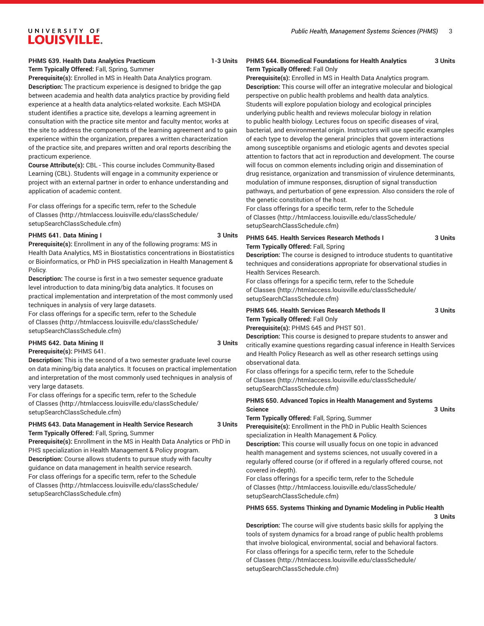#### **PHMS 639. Health Data Analytics Practicum 1-3 Units**

**Term Typically Offered:** Fall, Spring, Summer **Prerequisite(s):** Enrolled in MS in Health Data Analytics program. **Description:** The practicum experience is designed to bridge the gap between academia and health data analytics practice by providing field experience at a health data analytics-related worksite. Each MSHDA student identifies a practice site, develops a learning agreement in consultation with the practice site mentor and faculty mentor, works at the site to address the components of the learning agreement and to gain experience within the organization, prepares a written characterization of the practice site, and prepares written and oral reports describing the practicum experience.

**Course Attribute(s):** CBL - This course includes Community-Based Learning (CBL). Students will engage in a community experience or project with an external partner in order to enhance understanding and application of academic content.

For class offerings for a specific term, refer to the [Schedule](http://htmlaccess.louisville.edu/classSchedule/setupSearchClassSchedule.cfm) [of Classes \(http://htmlaccess.louisville.edu/classSchedule/](http://htmlaccess.louisville.edu/classSchedule/setupSearchClassSchedule.cfm) [setupSearchClassSchedule.cfm\)](http://htmlaccess.louisville.edu/classSchedule/setupSearchClassSchedule.cfm)

#### **PHMS 641. Data Mining I 3 Units**

**Prerequisite(s):** Enrollment in any of the following programs: MS in Health Data Analytics, MS in Biostatistics concentrations in Biostatistics or Bioinformatics, or PhD in PHS specialization in Health Management & Policy.

**Description:** The course is first in a two semester sequence graduate level introduction to data mining/big data analytics. It focuses on practical implementation and interpretation of the most commonly used techniques in analysis of very large datasets.

For class offerings for a specific term, refer to the [Schedule](http://htmlaccess.louisville.edu/classSchedule/setupSearchClassSchedule.cfm) [of Classes \(http://htmlaccess.louisville.edu/classSchedule/](http://htmlaccess.louisville.edu/classSchedule/setupSearchClassSchedule.cfm) [setupSearchClassSchedule.cfm\)](http://htmlaccess.louisville.edu/classSchedule/setupSearchClassSchedule.cfm)

# **PHMS 642. Data Mining II 3 Units**

#### **Prerequisite(s):** PHMS 641.

**Description:** This is the second of a two semester graduate level course on data mining/big data analytics. It focuses on practical implementation and interpretation of the most commonly used techniques in analysis of very large datasets.

For class offerings for a specific term, refer to the [Schedule](http://htmlaccess.louisville.edu/classSchedule/setupSearchClassSchedule.cfm) [of Classes \(http://htmlaccess.louisville.edu/classSchedule/](http://htmlaccess.louisville.edu/classSchedule/setupSearchClassSchedule.cfm) [setupSearchClassSchedule.cfm\)](http://htmlaccess.louisville.edu/classSchedule/setupSearchClassSchedule.cfm)

#### **PHMS 643. Data Management in Health Service Research 3 Units Term Typically Offered:** Fall, Spring, Summer

**Prerequisite(s):** Enrollment in the MS in Health Data Analytics or PhD in PHS specialization in Health Management & Policy program. **Description:** Course allows students to pursue study with faculty guidance on data management in health service research. For class offerings for a specific term, refer to the [Schedule](http://htmlaccess.louisville.edu/classSchedule/setupSearchClassSchedule.cfm) [of Classes \(http://htmlaccess.louisville.edu/classSchedule/](http://htmlaccess.louisville.edu/classSchedule/setupSearchClassSchedule.cfm) [setupSearchClassSchedule.cfm\)](http://htmlaccess.louisville.edu/classSchedule/setupSearchClassSchedule.cfm)

#### **PHMS 644. Biomedical Foundations for Health Analytics 3 Units Term Typically Offered:** Fall Only

**Prerequisite(s):** Enrolled in MS in Health Data Analytics program. **Description:** This course will offer an integrative molecular and biological perspective on public health problems and health data analytics. Students will explore population biology and ecological principles underlying public health and reviews molecular biology in relation to public health biology. Lectures focus on specific diseases of viral, bacterial, and environmental origin. Instructors will use specific examples of each type to develop the general principles that govern interactions among susceptible organisms and etiologic agents and devotes special attention to factors that act in reproduction and development. The course will focus on common elements including origin and dissemination of drug resistance, organization and transmission of virulence determinants, modulation of immune responses, disruption of signal transduction pathways, and perturbation of gene expression. Also considers the role of the genetic constitution of the host.

For class offerings for a specific term, refer to the [Schedule](http://htmlaccess.louisville.edu/classSchedule/setupSearchClassSchedule.cfm) [of Classes](http://htmlaccess.louisville.edu/classSchedule/setupSearchClassSchedule.cfm) ([http://htmlaccess.louisville.edu/classSchedule/](http://htmlaccess.louisville.edu/classSchedule/setupSearchClassSchedule.cfm) [setupSearchClassSchedule.cfm\)](http://htmlaccess.louisville.edu/classSchedule/setupSearchClassSchedule.cfm)

#### **PHMS 645. Health Services Research Methods I 3 Units Term Typically Offered:** Fall, Spring

**Description:** The course is designed to introduce students to quantitative techniques and considerations appropriate for observational studies in Health Services Research.

For class offerings for a specific term, refer to the [Schedule](http://htmlaccess.louisville.edu/classSchedule/setupSearchClassSchedule.cfm) [of Classes](http://htmlaccess.louisville.edu/classSchedule/setupSearchClassSchedule.cfm) ([http://htmlaccess.louisville.edu/classSchedule/](http://htmlaccess.louisville.edu/classSchedule/setupSearchClassSchedule.cfm) [setupSearchClassSchedule.cfm\)](http://htmlaccess.louisville.edu/classSchedule/setupSearchClassSchedule.cfm)

#### **PHMS 646. Health Services Research Methods ll 3 Units Term Typically Offered:** Fall Only

**Prerequisite(s):** PHMS 645 and PHST 501.

**Description:** This course is designed to prepare students to answer and critically examine questions regarding casual inference in Health Services and Health Policy Research as well as other research settings using observational data.

For class offerings for a specific term, refer to the [Schedule](http://htmlaccess.louisville.edu/classSchedule/setupSearchClassSchedule.cfm) [of Classes](http://htmlaccess.louisville.edu/classSchedule/setupSearchClassSchedule.cfm) ([http://htmlaccess.louisville.edu/classSchedule/](http://htmlaccess.louisville.edu/classSchedule/setupSearchClassSchedule.cfm) [setupSearchClassSchedule.cfm\)](http://htmlaccess.louisville.edu/classSchedule/setupSearchClassSchedule.cfm)

**PHMS 650. Advanced Topics in Health Management and Systems Science 3 Units**

**Term Typically Offered:** Fall, Spring, Summer

**Prerequisite(s):** Enrollment in the PhD in Public Health Sciences specialization in Health Management & Policy.

**Description:** This course will usually focus on one topic in advanced health management and systems sciences, not usually covered in a regularly offered course (or if offered in a regularly offered course, not covered in-depth).

For class offerings for a specific term, refer to the [Schedule](http://htmlaccess.louisville.edu/classSchedule/setupSearchClassSchedule.cfm) [of Classes](http://htmlaccess.louisville.edu/classSchedule/setupSearchClassSchedule.cfm) ([http://htmlaccess.louisville.edu/classSchedule/](http://htmlaccess.louisville.edu/classSchedule/setupSearchClassSchedule.cfm) [setupSearchClassSchedule.cfm\)](http://htmlaccess.louisville.edu/classSchedule/setupSearchClassSchedule.cfm)

#### **PHMS 655. Systems Thinking and Dynamic Modeling in Public Health**

**3 Units**

**Description:** The course will give students basic skills for applying the tools of system dynamics for a broad range of public health problems that involve biological, environmental, social and behavioral factors. For class offerings for a specific term, refer to the [Schedule](http://htmlaccess.louisville.edu/classSchedule/setupSearchClassSchedule.cfm) [of Classes](http://htmlaccess.louisville.edu/classSchedule/setupSearchClassSchedule.cfm) ([http://htmlaccess.louisville.edu/classSchedule/](http://htmlaccess.louisville.edu/classSchedule/setupSearchClassSchedule.cfm) [setupSearchClassSchedule.cfm\)](http://htmlaccess.louisville.edu/classSchedule/setupSearchClassSchedule.cfm)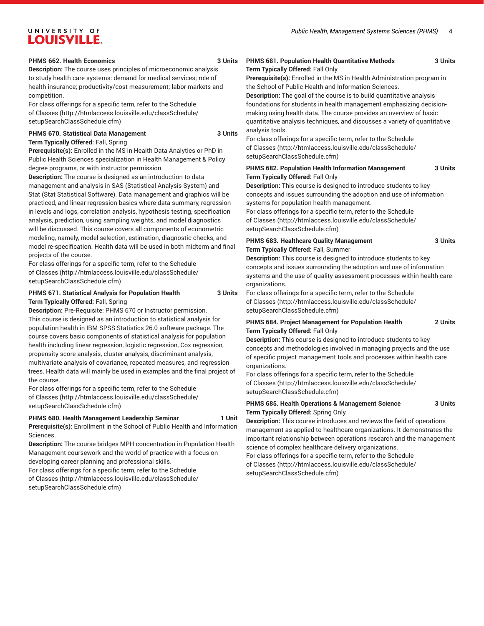#### **PHMS 662. Health Economics 3 Units**

**Description:** The course uses principles of microeconomic analysis to study health care systems: demand for medical services; role of health insurance; productivity/cost measurement; labor markets and competition.

For class offerings for a specific term, refer to the [Schedule](http://htmlaccess.louisville.edu/classSchedule/setupSearchClassSchedule.cfm) [of Classes \(http://htmlaccess.louisville.edu/classSchedule/](http://htmlaccess.louisville.edu/classSchedule/setupSearchClassSchedule.cfm) [setupSearchClassSchedule.cfm\)](http://htmlaccess.louisville.edu/classSchedule/setupSearchClassSchedule.cfm)

#### **PHMS 670. Statistical Data Management 3 Units Term Typically Offered:** Fall, Spring

**Prerequisite(s):** Enrolled in the MS in Health Data Analytics or PhD in Public Health Sciences specialization in Health Management & Policy degree programs, or with instructor permission.

**Description:** The course is designed as an introduction to data management and analysis in SAS (Statistical Analysis System) and Stat (Stat Statistical Software). Data management and graphics will be practiced, and linear regression basics where data summary, regression in levels and logs, correlation analysis, hypothesis testing, specification analysis, prediction, using sampling weights, and model diagnostics will be discussed. This course covers all components of econometric modeling, namely, model selection, estimation, diagnostic checks, and model re-specification. Health data will be used in both midterm and final projects of the course.

For class offerings for a specific term, refer to the [Schedule](http://htmlaccess.louisville.edu/classSchedule/setupSearchClassSchedule.cfm) [of Classes \(http://htmlaccess.louisville.edu/classSchedule/](http://htmlaccess.louisville.edu/classSchedule/setupSearchClassSchedule.cfm) [setupSearchClassSchedule.cfm\)](http://htmlaccess.louisville.edu/classSchedule/setupSearchClassSchedule.cfm)

#### **PHMS 671. Statistical Analysis for Population Health 3 Units Term Typically Offered:** Fall, Spring

**Description:** Pre-Requisite: PHMS 670 or Instructor permission. This course is designed as an introduction to statistical analysis for population health in IBM SPSS Statistics 26.0 software package. The course covers basic components of statistical analysis for population health including linear regression, logistic regression, Cox regression, propensity score analysis, cluster analysis, discriminant analysis, multivariate analysis of covariance, repeated measures, and regression trees. Health data will mainly be used in examples and the final project of the course.

For class offerings for a specific term, refer to the [Schedule](http://htmlaccess.louisville.edu/classSchedule/setupSearchClassSchedule.cfm) [of Classes \(http://htmlaccess.louisville.edu/classSchedule/](http://htmlaccess.louisville.edu/classSchedule/setupSearchClassSchedule.cfm) [setupSearchClassSchedule.cfm\)](http://htmlaccess.louisville.edu/classSchedule/setupSearchClassSchedule.cfm)

#### PHMS 680. Health Management Leadership Seminar 1 Unit

**Prerequisite(s):** Enrollment in the School of Public Health and Information Sciences.

**Description:** The course bridges MPH concentration in Population Health Management coursework and the world of practice with a focus on developing career planning and professional skills.

For class offerings for a specific term, refer to the [Schedule](http://htmlaccess.louisville.edu/classSchedule/setupSearchClassSchedule.cfm) [of Classes \(http://htmlaccess.louisville.edu/classSchedule/](http://htmlaccess.louisville.edu/classSchedule/setupSearchClassSchedule.cfm) [setupSearchClassSchedule.cfm\)](http://htmlaccess.louisville.edu/classSchedule/setupSearchClassSchedule.cfm)

#### **PHMS 681. Population Health Quantitative Methods 3 Units Term Typically Offered:** Fall Only

**Prerequisite(s):** Enrolled in the MS in Health Administration program in the School of Public Health and Information Sciences.

**Description:** The goal of the course is to build quantitative analysis foundations for students in health management emphasizing decisionmaking using health data. The course provides an overview of basic quantitative analysis techniques, and discusses a variety of quantitative analysis tools.

For class offerings for a specific term, refer to the [Schedule](http://htmlaccess.louisville.edu/classSchedule/setupSearchClassSchedule.cfm) [of Classes](http://htmlaccess.louisville.edu/classSchedule/setupSearchClassSchedule.cfm) ([http://htmlaccess.louisville.edu/classSchedule/](http://htmlaccess.louisville.edu/classSchedule/setupSearchClassSchedule.cfm) [setupSearchClassSchedule.cfm\)](http://htmlaccess.louisville.edu/classSchedule/setupSearchClassSchedule.cfm)

#### **PHMS 682. Population Health Information Management 3 Units Term Typically Offered:** Fall Only

**Description:** This course is designed to introduce students to key concepts and issues surrounding the adoption and use of information systems for population health management.

For class offerings for a specific term, refer to the [Schedule](http://htmlaccess.louisville.edu/classSchedule/setupSearchClassSchedule.cfm) [of Classes](http://htmlaccess.louisville.edu/classSchedule/setupSearchClassSchedule.cfm) ([http://htmlaccess.louisville.edu/classSchedule/](http://htmlaccess.louisville.edu/classSchedule/setupSearchClassSchedule.cfm) [setupSearchClassSchedule.cfm\)](http://htmlaccess.louisville.edu/classSchedule/setupSearchClassSchedule.cfm)

#### **PHMS 683. Healthcare Quality Management 3 Units Term Typically Offered:** Fall, Summer

**Description:** This course is designed to introduce students to key concepts and issues surrounding the adoption and use of information systems and the use of quality assessment processes within health care organizations.

For class offerings for a specific term, refer to the [Schedule](http://htmlaccess.louisville.edu/classSchedule/setupSearchClassSchedule.cfm) [of Classes](http://htmlaccess.louisville.edu/classSchedule/setupSearchClassSchedule.cfm) ([http://htmlaccess.louisville.edu/classSchedule/](http://htmlaccess.louisville.edu/classSchedule/setupSearchClassSchedule.cfm) [setupSearchClassSchedule.cfm\)](http://htmlaccess.louisville.edu/classSchedule/setupSearchClassSchedule.cfm)

#### **PHMS 684. Project Management for Population Health 2 Units Term Typically Offered:** Fall Only

**Description:** This course is designed to introduce students to key concepts and methodologies involved in managing projects and the use of specific project management tools and processes within health care organizations.

For class offerings for a specific term, refer to the [Schedule](http://htmlaccess.louisville.edu/classSchedule/setupSearchClassSchedule.cfm) [of Classes](http://htmlaccess.louisville.edu/classSchedule/setupSearchClassSchedule.cfm) ([http://htmlaccess.louisville.edu/classSchedule/](http://htmlaccess.louisville.edu/classSchedule/setupSearchClassSchedule.cfm) [setupSearchClassSchedule.cfm\)](http://htmlaccess.louisville.edu/classSchedule/setupSearchClassSchedule.cfm)

#### **PHMS 685. Health Operations & Management Science 3 Units Term Typically Offered:** Spring Only

**Description:** This course introduces and reviews the field of operations management as applied to healthcare organizations. It demonstrates the important relationship between operations research and the management science of complex healthcare delivery organizations.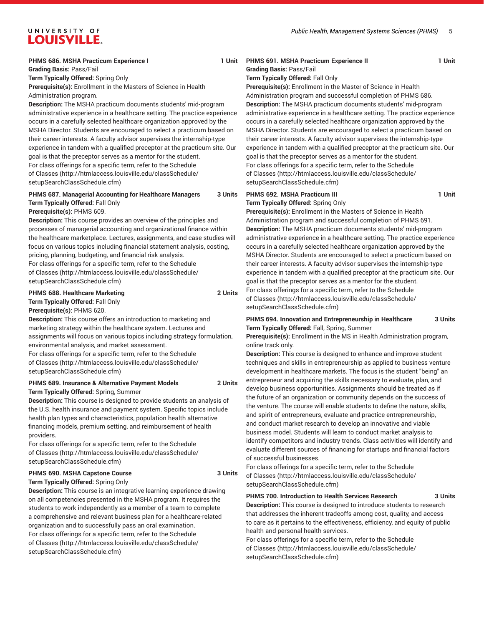#### **PHMS 686. MSHA Practicum Experience I** 1 Unit

**Grading Basis:** Pass/Fail **Term Typically Offered:** Spring Only **Prerequisite(s):** Enrollment in the Masters of Science in Health Administration program.

**Description:** The MSHA practicum documents students' mid-program administrative experience in a healthcare setting. The practice experience occurs in a carefully selected healthcare organization approved by the MSHA Director. Students are encouraged to select a practicum based on their career interests. A faculty advisor supervises the internship-type experience in tandem with a qualified preceptor at the practicum site. Our goal is that the preceptor serves as a mentor for the student. For class offerings for a specific term, refer to the [Schedule](http://htmlaccess.louisville.edu/classSchedule/setupSearchClassSchedule.cfm) [of Classes \(http://htmlaccess.louisville.edu/classSchedule/](http://htmlaccess.louisville.edu/classSchedule/setupSearchClassSchedule.cfm) [setupSearchClassSchedule.cfm\)](http://htmlaccess.louisville.edu/classSchedule/setupSearchClassSchedule.cfm)

#### **PHMS 687. Managerial Accounting for Healthcare Managers 3 Units Term Typically Offered:** Fall Only

**Prerequisite(s):** PHMS 609.

**Description:** This course provides an overview of the principles and processes of managerial accounting and organizational finance within the healthcare marketplace. Lectures, assignments, and case studies will focus on various topics including financial statement analysis, costing, pricing, planning, budgeting, and financial risk analysis.

For class offerings for a specific term, refer to the [Schedule](http://htmlaccess.louisville.edu/classSchedule/setupSearchClassSchedule.cfm) [of Classes \(http://htmlaccess.louisville.edu/classSchedule/](http://htmlaccess.louisville.edu/classSchedule/setupSearchClassSchedule.cfm) [setupSearchClassSchedule.cfm\)](http://htmlaccess.louisville.edu/classSchedule/setupSearchClassSchedule.cfm)

#### **PHMS 688. Healthcare Marketing 2 Units Term Typically Offered:** Fall Only

**Prerequisite(s):** PHMS 620.

**Description:** This course offers an introduction to marketing and marketing strategy within the healthcare system. Lectures and assignments will focus on various topics including strategy formulation, environmental analysis, and market assessment. For class offerings for a specific term, refer to the [Schedule](http://htmlaccess.louisville.edu/classSchedule/setupSearchClassSchedule.cfm) [of Classes \(http://htmlaccess.louisville.edu/classSchedule/](http://htmlaccess.louisville.edu/classSchedule/setupSearchClassSchedule.cfm) [setupSearchClassSchedule.cfm\)](http://htmlaccess.louisville.edu/classSchedule/setupSearchClassSchedule.cfm)

# **PHMS 689. Insurance & Alternative Payment Models 2 Units**

**Term Typically Offered:** Spring, Summer

**Description:** This course is designed to provide students an analysis of the U.S. health insurance and payment system. Specific topics include health plan types and characteristics, population health alternative financing models, premium setting, and reimbursement of health providers.

For class offerings for a specific term, refer to the [Schedule](http://htmlaccess.louisville.edu/classSchedule/setupSearchClassSchedule.cfm) [of Classes \(http://htmlaccess.louisville.edu/classSchedule/](http://htmlaccess.louisville.edu/classSchedule/setupSearchClassSchedule.cfm) [setupSearchClassSchedule.cfm\)](http://htmlaccess.louisville.edu/classSchedule/setupSearchClassSchedule.cfm)

#### PHMS 690. MSHA Capstone Course **3 Units Term Typically Offered:** Spring Only

**Description:** This course is an integrative learning experience drawing on all competencies presented in the MSHA program. It requires the students to work independently as a member of a team to complete a comprehensive and relevant business plan for a healthcare-related organization and to successfully pass an oral examination. For class offerings for a specific term, refer to the [Schedule](http://htmlaccess.louisville.edu/classSchedule/setupSearchClassSchedule.cfm) [of Classes \(http://htmlaccess.louisville.edu/classSchedule/](http://htmlaccess.louisville.edu/classSchedule/setupSearchClassSchedule.cfm) [setupSearchClassSchedule.cfm\)](http://htmlaccess.louisville.edu/classSchedule/setupSearchClassSchedule.cfm)

# **PHMS 691. MSHA Practicum Experience II** 1 Unit

**Grading Basis:** Pass/Fail **Term Typically Offered:** Fall Only

**Prerequisite(s):** Enrollment in the Master of Science in Health Administration program and successful completion of PHMS 686. **Description:** The MSHA practicum documents students' mid-program administrative experience in a healthcare setting. The practice experience occurs in a carefully selected healthcare organization approved by the MSHA Director. Students are encouraged to select a practicum based on their career interests. A faculty advisor supervises the internship-type experience in tandem with a qualified preceptor at the practicum site. Our goal is that the preceptor serves as a mentor for the student. For class offerings for a specific term, refer to the [Schedule](http://htmlaccess.louisville.edu/classSchedule/setupSearchClassSchedule.cfm) [of Classes](http://htmlaccess.louisville.edu/classSchedule/setupSearchClassSchedule.cfm) ([http://htmlaccess.louisville.edu/classSchedule/](http://htmlaccess.louisville.edu/classSchedule/setupSearchClassSchedule.cfm) [setupSearchClassSchedule.cfm\)](http://htmlaccess.louisville.edu/classSchedule/setupSearchClassSchedule.cfm)

#### **PHMS 692. MSHA Practicum III** 1 Unit **Term Typically Offered:** Spring Only

**Prerequisite(s):** Enrollment in the Masters of Science in Health Administration program and successful completion of PHMS 691. **Description:** The MSHA practicum documents students' mid-program administrative experience in a healthcare setting. The practice experience occurs in a carefully selected healthcare organization approved by the MSHA Director. Students are encouraged to select a practicum based on their career interests. A faculty advisor supervises the internship-type experience in tandem with a qualified preceptor at the practicum site. Our goal is that the preceptor serves as a mentor for the student.

For class offerings for a specific term, refer to the [Schedule](http://htmlaccess.louisville.edu/classSchedule/setupSearchClassSchedule.cfm) [of Classes](http://htmlaccess.louisville.edu/classSchedule/setupSearchClassSchedule.cfm) ([http://htmlaccess.louisville.edu/classSchedule/](http://htmlaccess.louisville.edu/classSchedule/setupSearchClassSchedule.cfm) [setupSearchClassSchedule.cfm\)](http://htmlaccess.louisville.edu/classSchedule/setupSearchClassSchedule.cfm)

#### **PHMS 694. Innovation and Entrepreneurship in Healthcare 3 Units Term Typically Offered:** Fall, Spring, Summer

**Prerequisite(s):** Enrollment in the MS in Health Administration program, online track only.

**Description:** This course is designed to enhance and improve student techniques and skills in entrepreneurship as applied to business venture development in healthcare markets. The focus is the student "being" an entrepreneur and acquiring the skills necessary to evaluate, plan, and develop business opportunities. Assignments should be treated as if the future of an organization or community depends on the success of the venture. The course will enable students to define the nature, skills, and spirit of entrepreneurs, evaluate and practice entrepreneurship, and conduct market research to develop an innovative and viable business model. Students will learn to conduct market analysis to identify competitors and industry trends. Class activities will identify and evaluate different sources of financing for startups and financial factors of successful businesses.

For class offerings for a specific term, refer to the [Schedule](http://htmlaccess.louisville.edu/classSchedule/setupSearchClassSchedule.cfm) [of Classes](http://htmlaccess.louisville.edu/classSchedule/setupSearchClassSchedule.cfm) ([http://htmlaccess.louisville.edu/classSchedule/](http://htmlaccess.louisville.edu/classSchedule/setupSearchClassSchedule.cfm) [setupSearchClassSchedule.cfm\)](http://htmlaccess.louisville.edu/classSchedule/setupSearchClassSchedule.cfm)

#### **PHMS 700. Introduction to Health Services Research 3 Units**

**Description:** This course is designed to introduce students to research that addresses the inherent tradeoffs among cost, quality, and access to care as it pertains to the effectiveness, efficiency, and equity of public health and personal health services.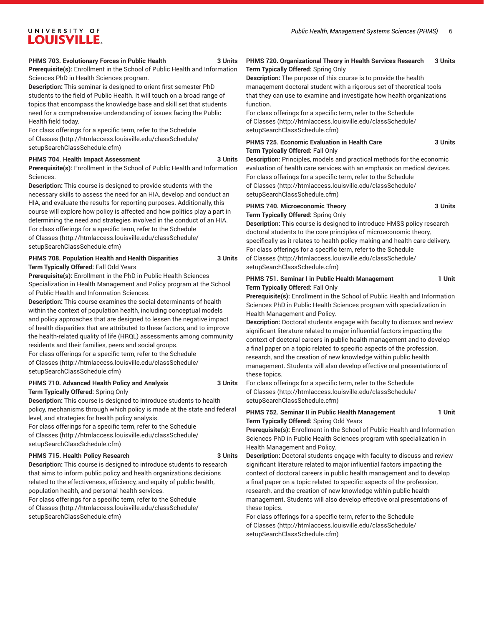#### **PHMS 703. Evolutionary Forces in Public Health 3 Units**

**Prerequisite(s):** Enrollment in the School of Public Health and Information Sciences PhD in Health Sciences program.

**Description:** This seminar is designed to orient first-semester PhD students to the field of Public Health. It will touch on a broad range of topics that encompass the knowledge base and skill set that students need for a comprehensive understanding of issues facing the Public Health field today.

For class offerings for a specific term, refer to the [Schedule](http://htmlaccess.louisville.edu/classSchedule/setupSearchClassSchedule.cfm) [of Classes \(http://htmlaccess.louisville.edu/classSchedule/](http://htmlaccess.louisville.edu/classSchedule/setupSearchClassSchedule.cfm) [setupSearchClassSchedule.cfm\)](http://htmlaccess.louisville.edu/classSchedule/setupSearchClassSchedule.cfm)

#### PHMS 704. Health Impact Assessment 3 Units

**Prerequisite(s):** Enrollment in the School of Public Health and Information Sciences.

**Description:** This course is designed to provide students with the necessary skills to assess the need for an HIA, develop and conduct an HIA, and evaluate the results for reporting purposes. Additionally, this course will explore how policy is affected and how politics play a part in determining the need and strategies involved in the conduct of an HIA. For class offerings for a specific term, refer to the [Schedule](http://htmlaccess.louisville.edu/classSchedule/setupSearchClassSchedule.cfm) [of Classes \(http://htmlaccess.louisville.edu/classSchedule/](http://htmlaccess.louisville.edu/classSchedule/setupSearchClassSchedule.cfm) [setupSearchClassSchedule.cfm\)](http://htmlaccess.louisville.edu/classSchedule/setupSearchClassSchedule.cfm)

#### **PHMS 708. Population Health and Health Disparities 3 Units Term Typically Offered:** Fall Odd Years

**Prerequisite(s):** Enrollment in the PhD in Public Health Sciences Specialization in Health Management and Policy program at the School of Public Health and Information Sciences.

**Description:** This course examines the social determinants of health within the context of population health, including conceptual models and policy approaches that are designed to lessen the negative impact of health disparities that are attributed to these factors, and to improve the health-related quality of life (HRQL) assessments among community residents and their families, peers and social groups.

For class offerings for a specific term, refer to the [Schedule](http://htmlaccess.louisville.edu/classSchedule/setupSearchClassSchedule.cfm) [of Classes \(http://htmlaccess.louisville.edu/classSchedule/](http://htmlaccess.louisville.edu/classSchedule/setupSearchClassSchedule.cfm) [setupSearchClassSchedule.cfm\)](http://htmlaccess.louisville.edu/classSchedule/setupSearchClassSchedule.cfm)

#### **PHMS 710. Advanced Health Policy and Analysis 3 Units**

**Term Typically Offered:** Spring Only

**Description:** This course is designed to introduce students to health policy, mechanisms through which policy is made at the state and federal level, and strategies for health policy analysis.

For class offerings for a specific term, refer to the [Schedule](http://htmlaccess.louisville.edu/classSchedule/setupSearchClassSchedule.cfm) [of Classes \(http://htmlaccess.louisville.edu/classSchedule/](http://htmlaccess.louisville.edu/classSchedule/setupSearchClassSchedule.cfm) [setupSearchClassSchedule.cfm\)](http://htmlaccess.louisville.edu/classSchedule/setupSearchClassSchedule.cfm)

#### **PHMS 715. Health Policy Research 3 Units**

**Description:** This course is designed to introduce students to research that aims to inform public policy and health organizations decisions related to the effectiveness, efficiency, and equity of public health, population health, and personal health services. For class offerings for a specific term, refer to the [Schedule](http://htmlaccess.louisville.edu/classSchedule/setupSearchClassSchedule.cfm) [of Classes \(http://htmlaccess.louisville.edu/classSchedule/](http://htmlaccess.louisville.edu/classSchedule/setupSearchClassSchedule.cfm)

[setupSearchClassSchedule.cfm\)](http://htmlaccess.louisville.edu/classSchedule/setupSearchClassSchedule.cfm)

#### **PHMS 720. Organizational Theory in Health Services Research 3 Units Term Typically Offered:** Spring Only

**Description:** The purpose of this course is to provide the health management doctoral student with a rigorous set of theoretical tools that they can use to examine and investigate how health organizations function.

For class offerings for a specific term, refer to the [Schedule](http://htmlaccess.louisville.edu/classSchedule/setupSearchClassSchedule.cfm) [of Classes](http://htmlaccess.louisville.edu/classSchedule/setupSearchClassSchedule.cfm) ([http://htmlaccess.louisville.edu/classSchedule/](http://htmlaccess.louisville.edu/classSchedule/setupSearchClassSchedule.cfm) [setupSearchClassSchedule.cfm\)](http://htmlaccess.louisville.edu/classSchedule/setupSearchClassSchedule.cfm)

#### **PHMS 725. Economic Evaluation in Health Care 3 Units Term Typically Offered:** Fall Only

**Description:** Principles, models and practical methods for the economic evaluation of health care services with an emphasis on medical devices. For class offerings for a specific term, refer to the [Schedule](http://htmlaccess.louisville.edu/classSchedule/setupSearchClassSchedule.cfm) [of Classes](http://htmlaccess.louisville.edu/classSchedule/setupSearchClassSchedule.cfm) ([http://htmlaccess.louisville.edu/classSchedule/](http://htmlaccess.louisville.edu/classSchedule/setupSearchClassSchedule.cfm) [setupSearchClassSchedule.cfm\)](http://htmlaccess.louisville.edu/classSchedule/setupSearchClassSchedule.cfm)

#### **PHMS 740. Microeconomic Theory 3 Units Term Typically Offered:** Spring Only

**Description:** This course is designed to introduce HMSS policy research doctoral students to the core principles of microeconomic theory, specifically as it relates to health policy-making and health care delivery. For class offerings for a specific term, refer to the [Schedule](http://htmlaccess.louisville.edu/classSchedule/setupSearchClassSchedule.cfm) [of Classes](http://htmlaccess.louisville.edu/classSchedule/setupSearchClassSchedule.cfm) ([http://htmlaccess.louisville.edu/classSchedule/](http://htmlaccess.louisville.edu/classSchedule/setupSearchClassSchedule.cfm) [setupSearchClassSchedule.cfm\)](http://htmlaccess.louisville.edu/classSchedule/setupSearchClassSchedule.cfm)

#### **PHMS 751. Seminar I in Public Health Management 1 Unit Term Typically Offered:** Fall Only

**Prerequisite(s):** Enrollment in the School of Public Health and Information Sciences PhD in Public Health Sciences program with specialization in Health Management and Policy.

**Description:** Doctoral students engage with faculty to discuss and review significant literature related to major influential factors impacting the context of doctoral careers in public health management and to develop a final paper on a topic related to specific aspects of the profession, research, and the creation of new knowledge within public health management. Students will also develop effective oral presentations of these topics.

For class offerings for a specific term, refer to the [Schedule](http://htmlaccess.louisville.edu/classSchedule/setupSearchClassSchedule.cfm) [of Classes](http://htmlaccess.louisville.edu/classSchedule/setupSearchClassSchedule.cfm) ([http://htmlaccess.louisville.edu/classSchedule/](http://htmlaccess.louisville.edu/classSchedule/setupSearchClassSchedule.cfm) [setupSearchClassSchedule.cfm\)](http://htmlaccess.louisville.edu/classSchedule/setupSearchClassSchedule.cfm)

PHMS 752. Seminar II in Public Health Management 1 Unit **Term Typically Offered:** Spring Odd Years

**Prerequisite(s):** Enrollment in the School of Public Health and Information Sciences PhD in Public Health Sciences program with specialization in Health Management and Policy.

**Description:** Doctoral students engage with faculty to discuss and review significant literature related to major influential factors impacting the context of doctoral careers in public health management and to develop a final paper on a topic related to specific aspects of the profession, research, and the creation of new knowledge within public health management. Students will also develop effective oral presentations of these topics.